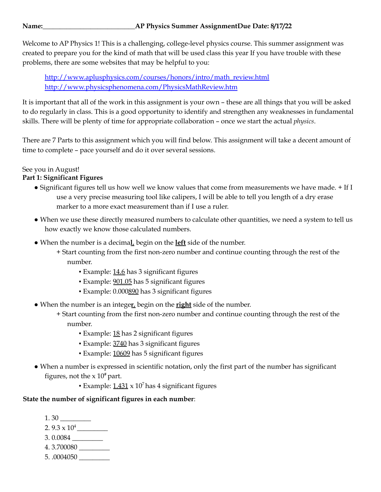Welcome to AP Physics 1! This is a challenging, college-level physics course. This summer assignment was created to prepare you for the kind of math that will be used class this year If you have trouble with these problems, there are some websites that may be helpful to you:

http://www.aplusphysics.com/courses/honors/intro/math\_review.html http://www.physicsphenomena.com/PhysicsMathReview.htm

It is important that all of the work in this assignment is your own – these are all things that you will be asked to do regularly in class. This is a good opportunity to identify and strengthen any weaknesses in fundamental skills. There will be plenty of time for appropriate collaboration – once we start the actual *physics*.

There are 7 Parts to this assignment which you will find below. This assignment will take a decent amount of time to complete – pace yourself and do it over several sessions.

# See you in August!

# **Part 1: Significant Figures**

- Significant figures tell us how well we know values that come from measurements we have made. + If I use a very precise measuring tool like calipers, I will be able to tell you length of a dry erase marker to a more exact measurement than if I use a ruler.
- When we use these directly measured numbers to calculate other quantities, we need a system to tell us how exactly we know those calculated numbers.
- When the number is a decima**l**, begin on the **left** side of the number.
	- + Start counting from the first non-zero number and continue counting through the rest of the number.
		- **Example: 14.6 has 3 significant figures**
		- **Example: 901.05 has 5 significant figures**
		- Example: 0.000890 has 3 significant figures
- When the number is an intege**r**, begin on the **right** side of the number.
	- + Start counting from the first non-zero number and continue counting through the rest of the number.
		- **Example: 18 has 2 significant figures**
		- **Example: 3740 has 3 significant figures**
		- **Example: 10609** has 5 significant figures
- When a number is expressed in scientific notation, only the first part of the number has significant figures, not the  $\times 10^4$  part.
	- Example:  $1.431 \times 10^7$  has 4 significant figures

# **State the number of significant figures in each number**:

- 1. 30 \_\_\_\_\_\_\_\_\_
- 2. 9.3 x 10 <sup>4</sup> \_\_\_\_\_\_\_\_\_
- 3. 0.0084 \_\_\_\_\_\_\_\_\_
- 4. 3.700080 \_\_\_\_\_\_\_\_\_
- 5. .0004050 \_\_\_\_\_\_\_\_\_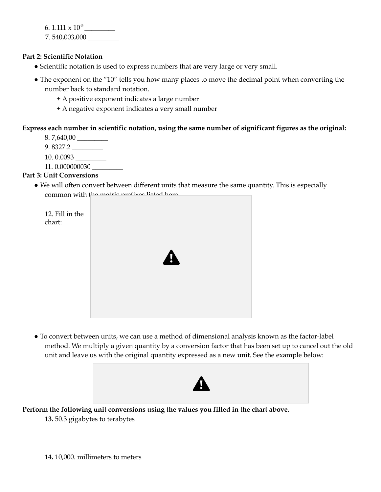6. 1.111 x 10 -5 \_\_\_\_\_\_\_\_\_

7. 540,003,000 \_\_\_\_\_\_\_\_\_

### **Part 2: Scientific Notation**

- Scientific notation is used to express numbers that are very large or very small.
- The exponent on the "10" tells you how many places to move the decimal point when converting the number back to standard notation.

+ A positive exponent indicates a large number

+ A negative exponent indicates a very small number

#### **Express each number in scientific notation, using the same number of significant figures as the original:**

- 8. 7,640,00 \_\_\_\_\_\_\_\_\_
- 9. 8327.2 \_\_\_\_\_\_\_\_\_
- 10. 0.0093 \_\_\_\_\_\_\_\_\_
- 11. 0.000000030 \_\_\_\_\_\_\_\_\_

### **Part 3: Unit Conversions**

• We will often convert between different units that measure the same quantity. This is especially common with the metric prefixes listed here.



● To convert between units, we can use a method of dimensional analysis known as the factor-label method. We multiply a given quantity by a conversion factor that has been set up to cancel out the old unit and leave us with the original quantity expressed as a new unit. See the example below:



**Perform the following unit conversions using the values you filled in the chart above.**

**<sup>13.</sup>** 50.3 gigabytes to terabytes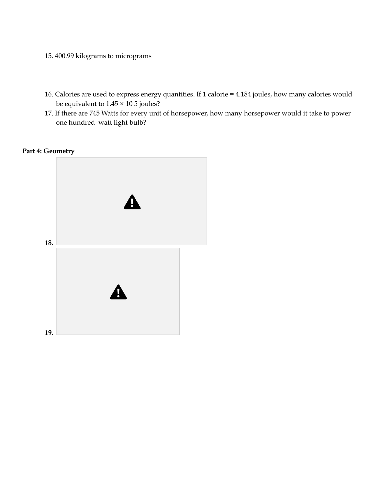- 15. 400.99 kilograms to micrograms
- 16. Calories are used to express energy quantities. If 1 calorie = 4.184 joules, how many calories would be equivalent to 1.45 × 10 5 joules?
- 17. If there are 745 Watts for every unit of horsepower, how many horsepower would it take to power one hundred‐watt light bulb?

### **Part 4: Geometry**

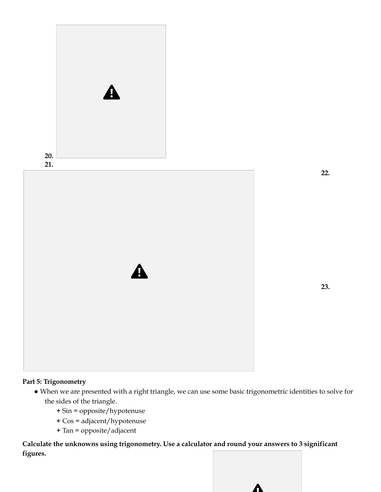

# **Part 5: Trigonometry**

- **●** When we are presented with a right triangle, we can use some basic trigonometric identities to solve for the sides of the triangle.
	- **+** Sin = opposite/hypotenuse
	- **+** Cos = adjacent/hypotenuse
	- **+** Tan = opposite/adjacent

**Calculate the unknowns using trigonometry. Use a calculator and round your answers to 3 significant figures.**



**22.**

**23.**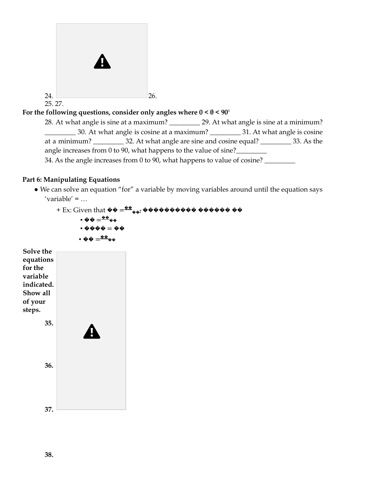| $24. \ \Box$<br>25. 27. | $\mathbf{\Theta}$ | 26. |
|-------------------------|-------------------|-----|
|                         |                   |     |

## For the following questions, consider only angles where  $0 < \theta < 90^\circ$

28. At what angle is sine at a maximum? \_\_\_\_\_\_\_\_\_ 29. At what angle is sine at a minimum? \_\_\_\_\_\_\_\_\_ 30. At what angle is cosine at a maximum? \_\_\_\_\_\_\_\_\_ 31. At what angle is cosine at a minimum? \_\_\_\_\_\_\_\_\_ 32. At what angle are sine and cosine equal? \_\_\_\_\_\_\_\_\_ 33. As the angle increases from 0 to 90, what happens to the value of sine? 34. As the angle increases from 0 to 90, what happens to value of cosine?

## **Part 6: Manipulating Equations**

● We can solve an equation "for" a variable by moving variables around until the equation says  $'$ variable $' = ...$